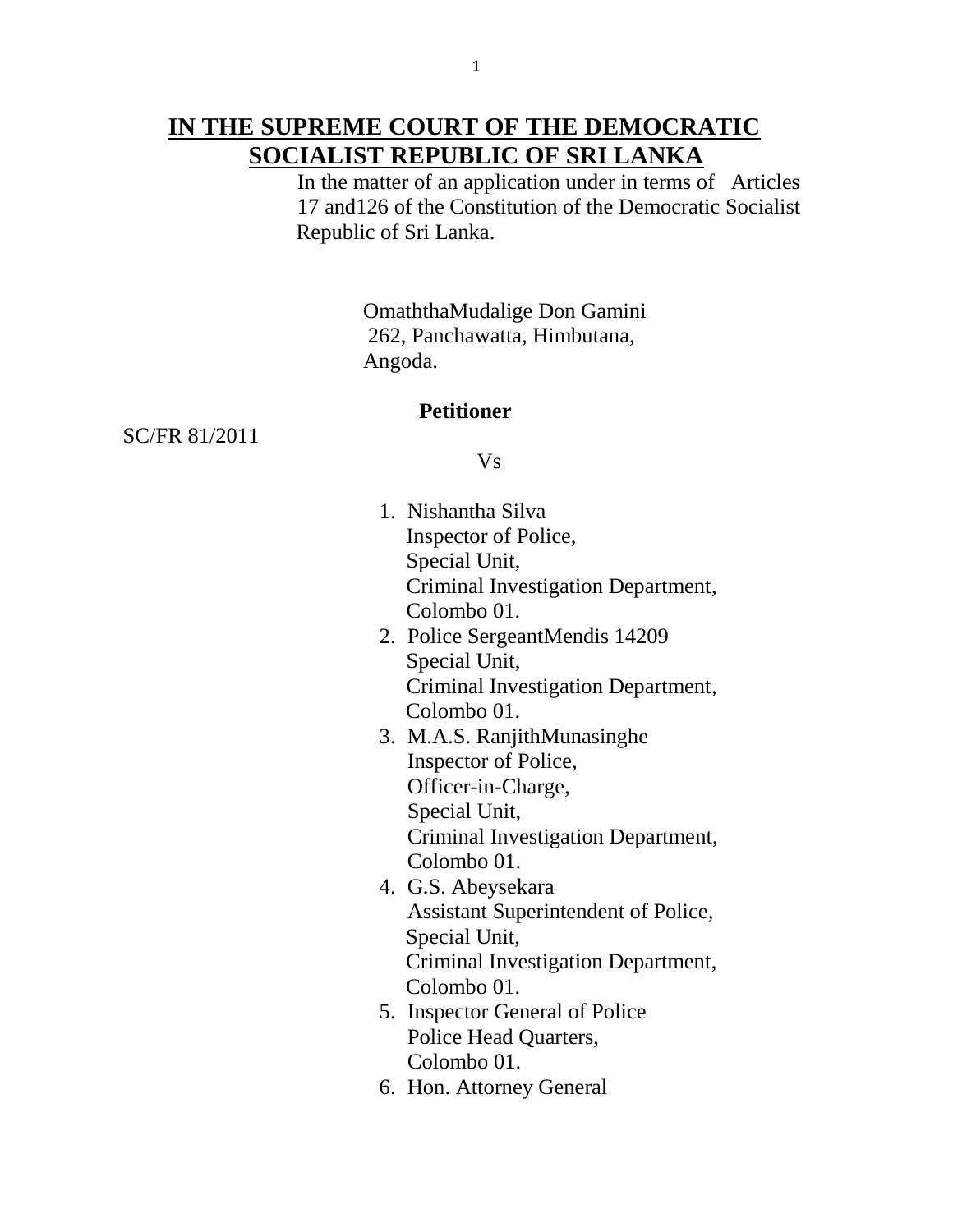## **IN THE SUPREME COURT OF THE DEMOCRATIC SOCIALIST REPUBLIC OF SRI LANKA**

 In the matter of an application under in terms of Articles 17 and126 of the Constitution of the Democratic Socialist Republic of Sri Lanka.

> OmaththaMudalige Don Gamini 262, Panchawatta, Himbutana, Angoda.

### **Petitioner**

SC/FR 81/2011

Vs

- 1. Nishantha Silva Inspector of Police, Special Unit, Criminal Investigation Department, Colombo 01.
- 2. Police SergeantMendis 14209 Special Unit, Criminal Investigation Department, Colombo 01.
- 3. M.A.S. RanjithMunasinghe Inspector of Police, Officer-in-Charge, Special Unit, Criminal Investigation Department, Colombo 01.
- 4. G.S. Abeysekara Assistant Superintendent of Police, Special Unit, Criminal Investigation Department, Colombo 01.
- 5. Inspector General of Police Police Head Quarters, Colombo 01.
- 6. Hon. Attorney General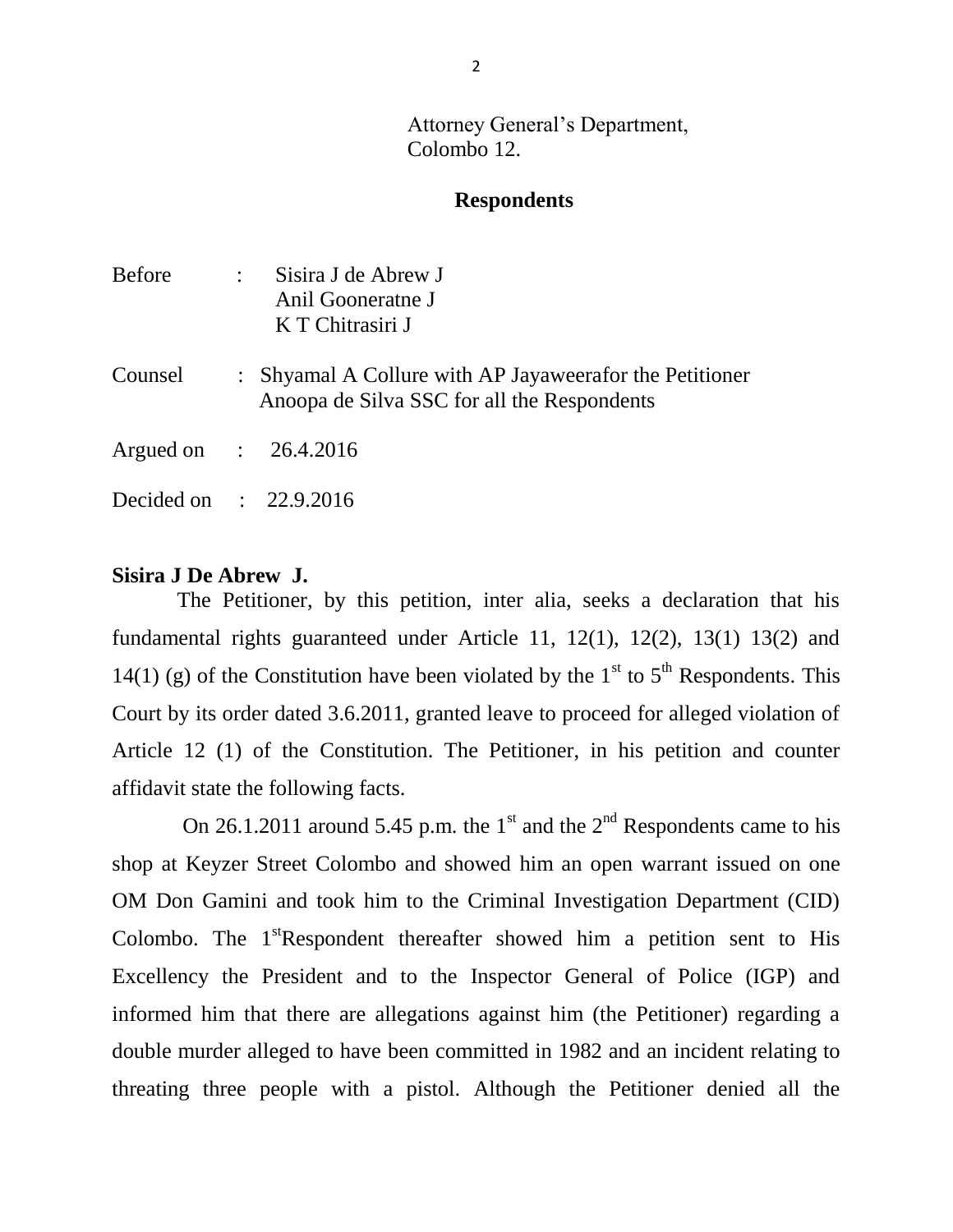Attorney General's Department, Colombo 12.

### **Respondents**

| <b>Before</b>          | $\sim 10^{-10}$ | Sisira J de Abrew J<br>Anil Gooneratne J<br>K T Chitrasiri J                                           |
|------------------------|-----------------|--------------------------------------------------------------------------------------------------------|
| Counsel                |                 | : Shyamal A Collure with AP Jayaweerafor the Petitioner<br>Anoopa de Silva SSC for all the Respondents |
| Argued on : 26.4.2016  |                 |                                                                                                        |
| Decided on : 22.9.2016 |                 |                                                                                                        |

### **Sisira J De Abrew J.**

 The Petitioner, by this petition, inter alia, seeks a declaration that his fundamental rights guaranteed under Article 11, 12(1), 12(2), 13(1) 13(2) and 14(1) (g) of the Constitution have been violated by the  $1<sup>st</sup>$  to  $5<sup>th</sup>$  Respondents. This Court by its order dated 3.6.2011, granted leave to proceed for alleged violation of Article 12 (1) of the Constitution. The Petitioner, in his petition and counter affidavit state the following facts.

On 26.1.2011 around 5.45 p.m. the 1<sup>st</sup> and the 2<sup>nd</sup> Respondents came to his shop at Keyzer Street Colombo and showed him an open warrant issued on one OM Don Gamini and took him to the Criminal Investigation Department (CID) Colombo. The  $1<sup>st</sup>$ Respondent thereafter showed him a petition sent to His Excellency the President and to the Inspector General of Police (IGP) and informed him that there are allegations against him (the Petitioner) regarding a double murder alleged to have been committed in 1982 and an incident relating to threating three people with a pistol. Although the Petitioner denied all the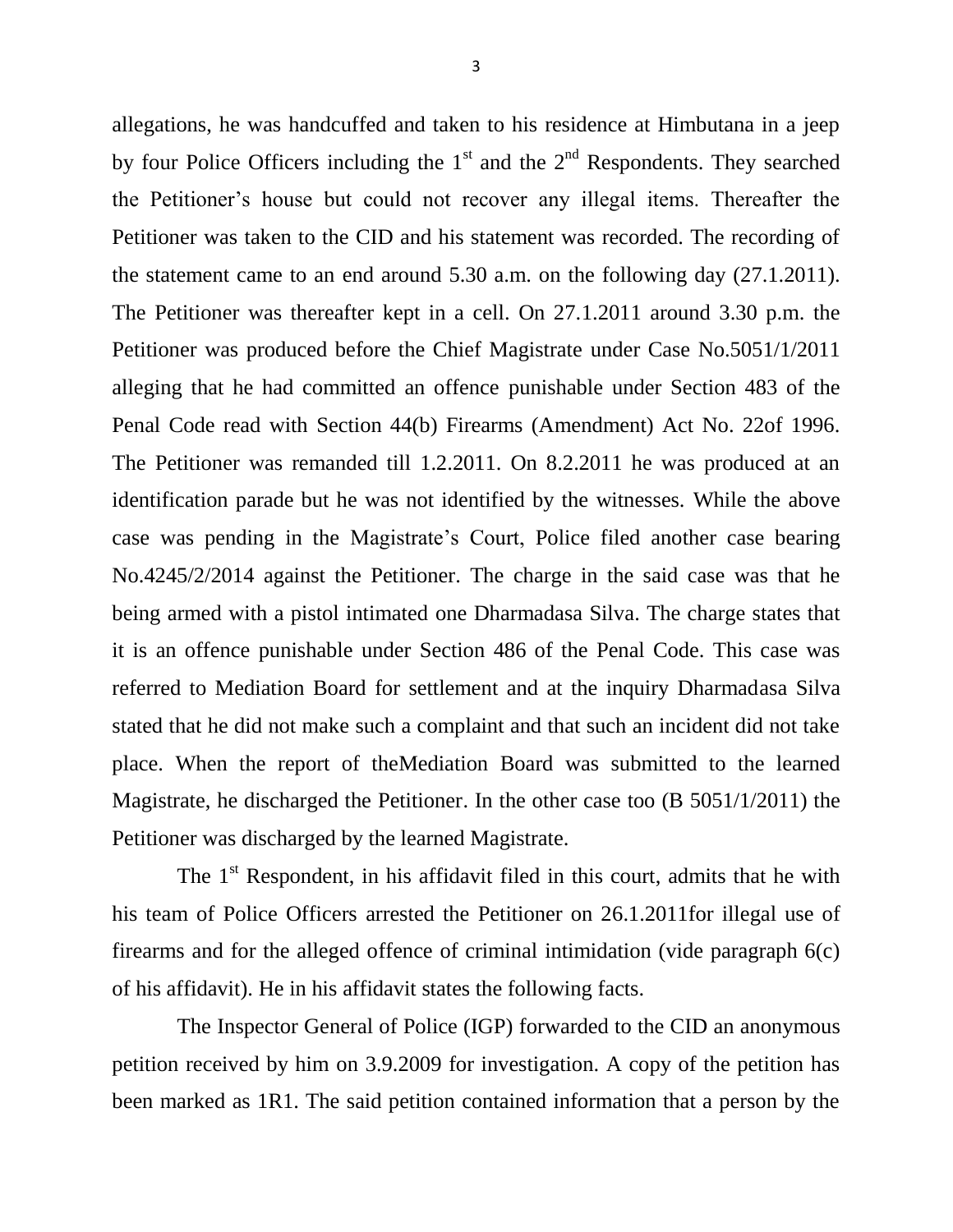allegations, he was handcuffed and taken to his residence at Himbutana in a jeep by four Police Officers including the  $1<sup>st</sup>$  and the  $2<sup>nd</sup>$  Respondents. They searched the Petitioner's house but could not recover any illegal items. Thereafter the Petitioner was taken to the CID and his statement was recorded. The recording of the statement came to an end around 5.30 a.m. on the following day (27.1.2011). The Petitioner was thereafter kept in a cell. On 27.1.2011 around 3.30 p.m. the Petitioner was produced before the Chief Magistrate under Case No.5051/1/2011 alleging that he had committed an offence punishable under Section 483 of the Penal Code read with Section 44(b) Firearms (Amendment) Act No. 22of 1996. The Petitioner was remanded till 1.2.2011. On 8.2.2011 he was produced at an identification parade but he was not identified by the witnesses. While the above case was pending in the Magistrate's Court, Police filed another case bearing No.4245/2/2014 against the Petitioner. The charge in the said case was that he being armed with a pistol intimated one Dharmadasa Silva. The charge states that it is an offence punishable under Section 486 of the Penal Code. This case was referred to Mediation Board for settlement and at the inquiry Dharmadasa Silva stated that he did not make such a complaint and that such an incident did not take place. When the report of theMediation Board was submitted to the learned Magistrate, he discharged the Petitioner. In the other case too (B 5051/1/2011) the Petitioner was discharged by the learned Magistrate.

The  $1<sup>st</sup>$  Respondent, in his affidavit filed in this court, admits that he with his team of Police Officers arrested the Petitioner on 26.1.2011for illegal use of firearms and for the alleged offence of criminal intimidation (vide paragraph 6(c) of his affidavit). He in his affidavit states the following facts.

 The Inspector General of Police (IGP) forwarded to the CID an anonymous petition received by him on 3.9.2009 for investigation. A copy of the petition has been marked as 1R1. The said petition contained information that a person by the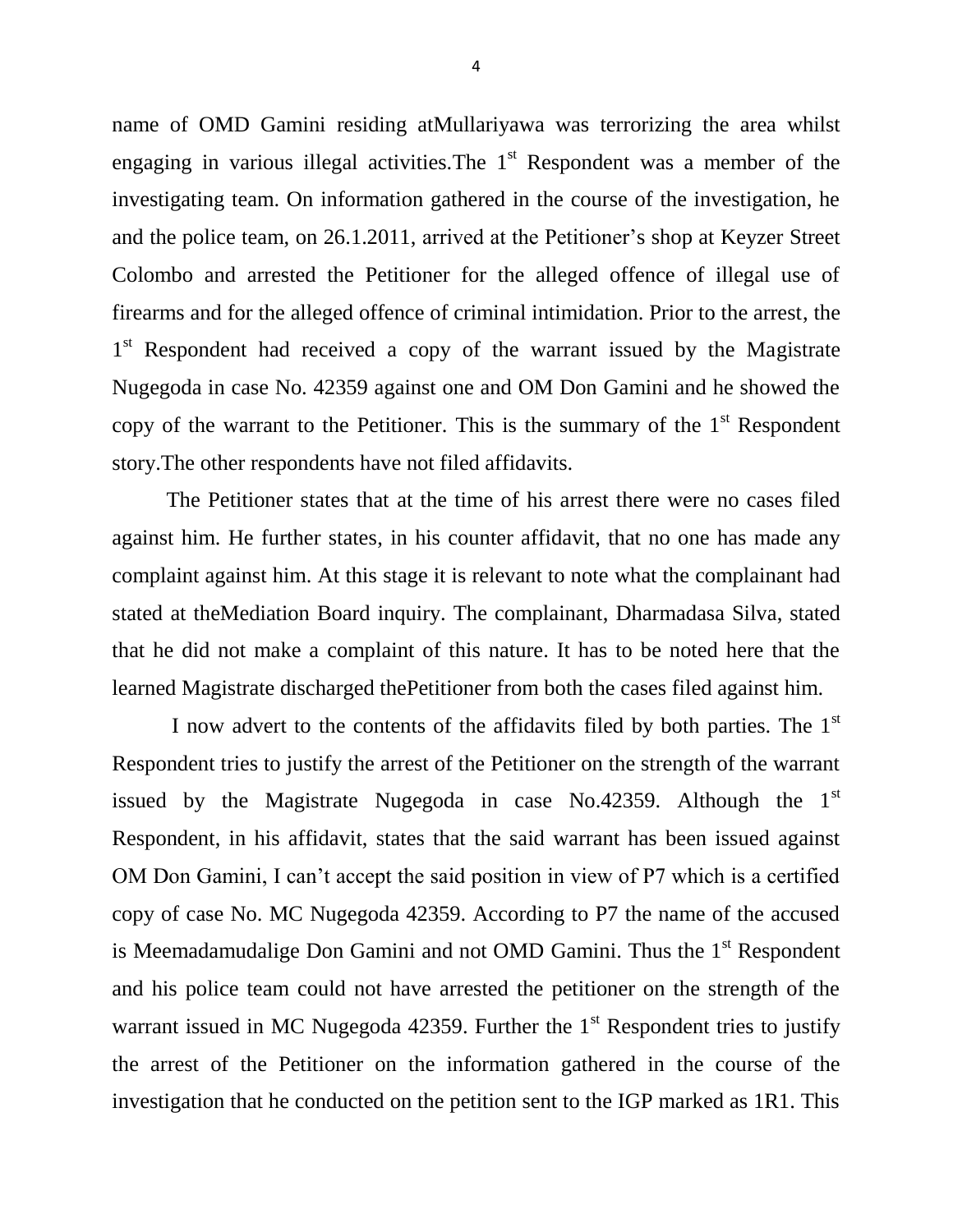name of OMD Gamini residing atMullariyawa was terrorizing the area whilst engaging in various illegal activities. The  $1<sup>st</sup>$  Respondent was a member of the investigating team. On information gathered in the course of the investigation, he and the police team, on 26.1.2011, arrived at the Petitioner's shop at Keyzer Street Colombo and arrested the Petitioner for the alleged offence of illegal use of firearms and for the alleged offence of criminal intimidation. Prior to the arrest, the 1<sup>st</sup> Respondent had received a copy of the warrant issued by the Magistrate Nugegoda in case No. 42359 against one and OM Don Gamini and he showed the copy of the warrant to the Petitioner. This is the summary of the  $1<sup>st</sup>$  Respondent story.The other respondents have not filed affidavits.

 The Petitioner states that at the time of his arrest there were no cases filed against him. He further states, in his counter affidavit, that no one has made any complaint against him. At this stage it is relevant to note what the complainant had stated at theMediation Board inquiry. The complainant, Dharmadasa Silva, stated that he did not make a complaint of this nature. It has to be noted here that the learned Magistrate discharged thePetitioner from both the cases filed against him.

I now advert to the contents of the affidavits filed by both parties. The  $1<sup>st</sup>$ Respondent tries to justify the arrest of the Petitioner on the strength of the warrant issued by the Magistrate Nugegoda in case No.42359. Although the  $1<sup>st</sup>$ Respondent, in his affidavit, states that the said warrant has been issued against OM Don Gamini, I can't accept the said position in view of P7 which is a certified copy of case No. MC Nugegoda 42359. According to P7 the name of the accused is Meemadamudalige Don Gamini and not OMD Gamini. Thus the 1<sup>st</sup> Respondent and his police team could not have arrested the petitioner on the strength of the warrant issued in MC Nugegoda 42359. Further the  $1<sup>st</sup>$  Respondent tries to justify the arrest of the Petitioner on the information gathered in the course of the investigation that he conducted on the petition sent to the IGP marked as 1R1. This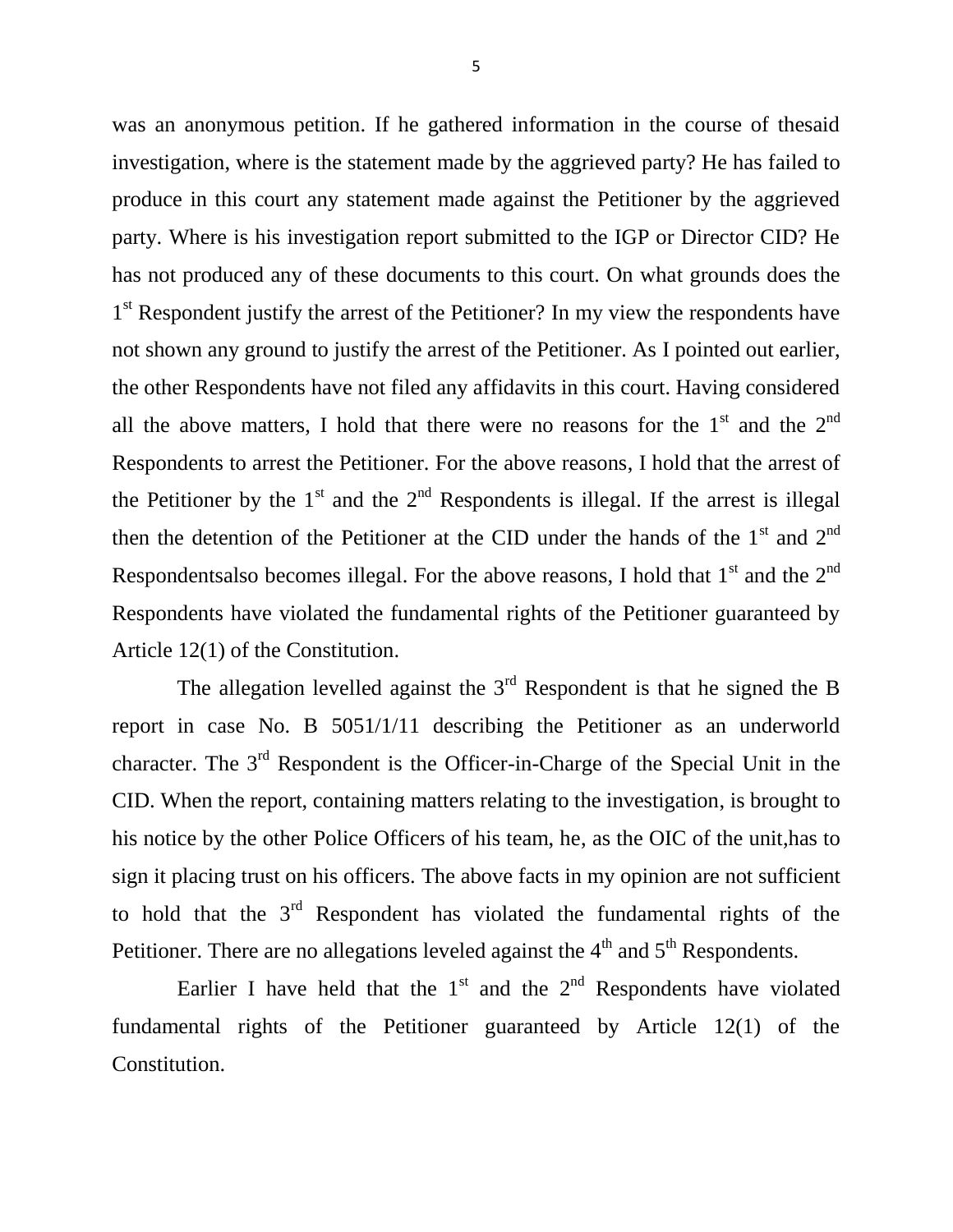was an anonymous petition. If he gathered information in the course of thesaid investigation, where is the statement made by the aggrieved party? He has failed to produce in this court any statement made against the Petitioner by the aggrieved party. Where is his investigation report submitted to the IGP or Director CID? He has not produced any of these documents to this court. On what grounds does the 1<sup>st</sup> Respondent justify the arrest of the Petitioner? In my view the respondents have not shown any ground to justify the arrest of the Petitioner. As I pointed out earlier, the other Respondents have not filed any affidavits in this court. Having considered all the above matters, I hold that there were no reasons for the  $1<sup>st</sup>$  and the  $2<sup>nd</sup>$ Respondents to arrest the Petitioner. For the above reasons, I hold that the arrest of the Petitioner by the  $1<sup>st</sup>$  and the  $2<sup>nd</sup>$  Respondents is illegal. If the arrest is illegal then the detention of the Petitioner at the CID under the hands of the  $1<sup>st</sup>$  and  $2<sup>nd</sup>$ Respondentsalso becomes illegal. For the above reasons, I hold that  $1<sup>st</sup>$  and the  $2<sup>nd</sup>$ Respondents have violated the fundamental rights of the Petitioner guaranteed by Article 12(1) of the Constitution.

The allegation levelled against the  $3<sup>rd</sup>$  Respondent is that he signed the B report in case No. B 5051/1/11 describing the Petitioner as an underworld character. The 3rd Respondent is the Officer-in-Charge of the Special Unit in the CID. When the report, containing matters relating to the investigation, is brought to his notice by the other Police Officers of his team, he, as the OIC of the unit,has to sign it placing trust on his officers. The above facts in my opinion are not sufficient to hold that the  $3<sup>rd</sup>$  Respondent has violated the fundamental rights of the Petitioner. There are no allegations leveled against the  $4<sup>th</sup>$  and  $5<sup>th</sup>$  Respondents.

Earlier I have held that the  $1<sup>st</sup>$  and the  $2<sup>nd</sup>$  Respondents have violated fundamental rights of the Petitioner guaranteed by Article 12(1) of the Constitution.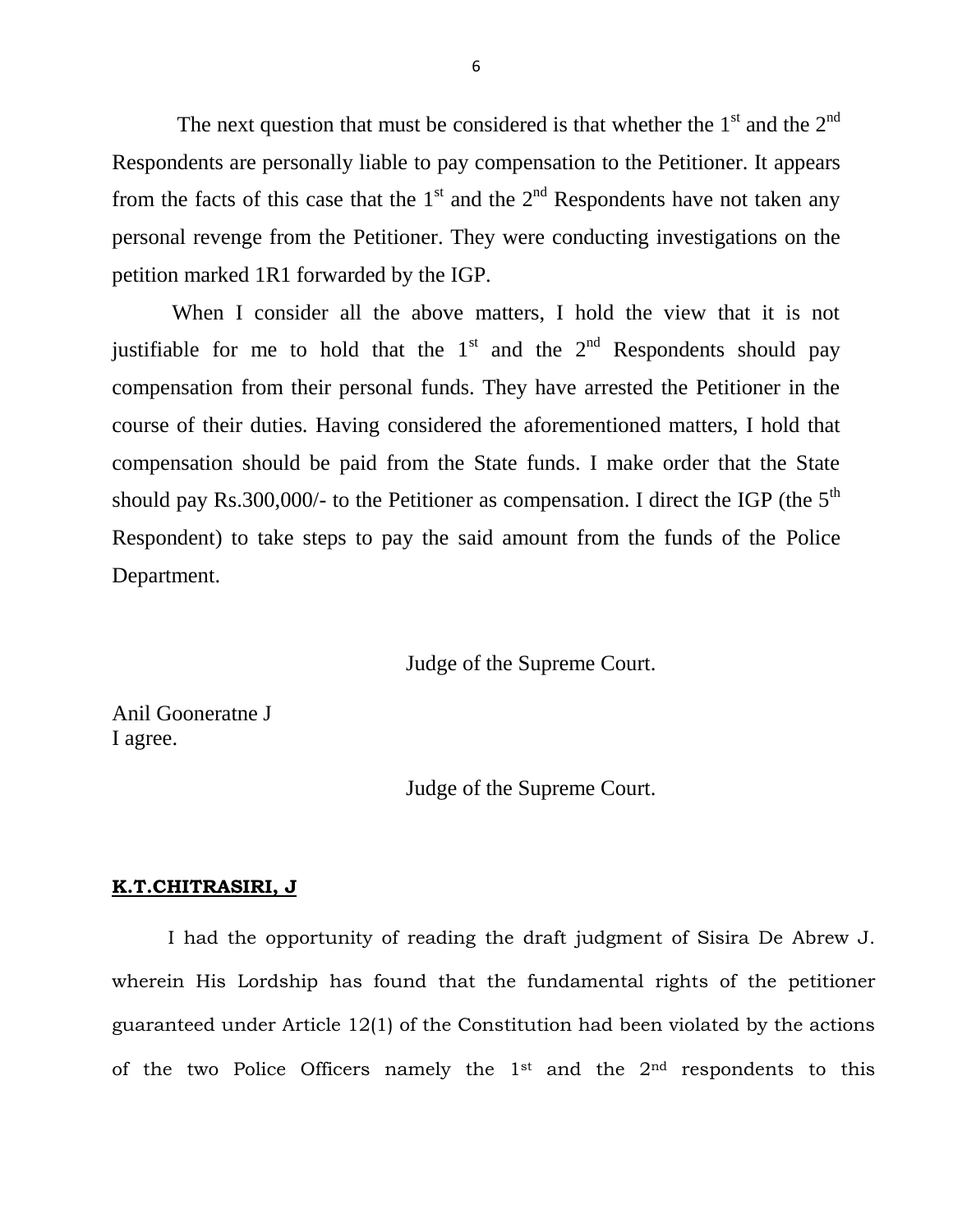The next question that must be considered is that whether the  $1<sup>st</sup>$  and the  $2<sup>nd</sup>$ Respondents are personally liable to pay compensation to the Petitioner. It appears from the facts of this case that the  $1<sup>st</sup>$  and the  $2<sup>nd</sup>$  Respondents have not taken any personal revenge from the Petitioner. They were conducting investigations on the petition marked 1R1 forwarded by the IGP.

 When I consider all the above matters, I hold the view that it is not justifiable for me to hold that the  $1<sup>st</sup>$  and the  $2<sup>nd</sup>$  Respondents should pay compensation from their personal funds. They have arrested the Petitioner in the course of their duties. Having considered the aforementioned matters, I hold that compensation should be paid from the State funds. I make order that the State should pay Rs.300,000/- to the Petitioner as compensation. I direct the IGP (the  $5<sup>th</sup>$ Respondent) to take steps to pay the said amount from the funds of the Police Department.

Judge of the Supreme Court.

Anil Gooneratne J I agree.

Judge of the Supreme Court.

#### **K.T.CHITRASIRI, J**

I had the opportunity of reading the draft judgment of Sisira De Abrew J. wherein His Lordship has found that the fundamental rights of the petitioner guaranteed under Article 12(1) of the Constitution had been violated by the actions of the two Police Officers namely the  $1<sup>st</sup>$  and the  $2<sup>nd</sup>$  respondents to this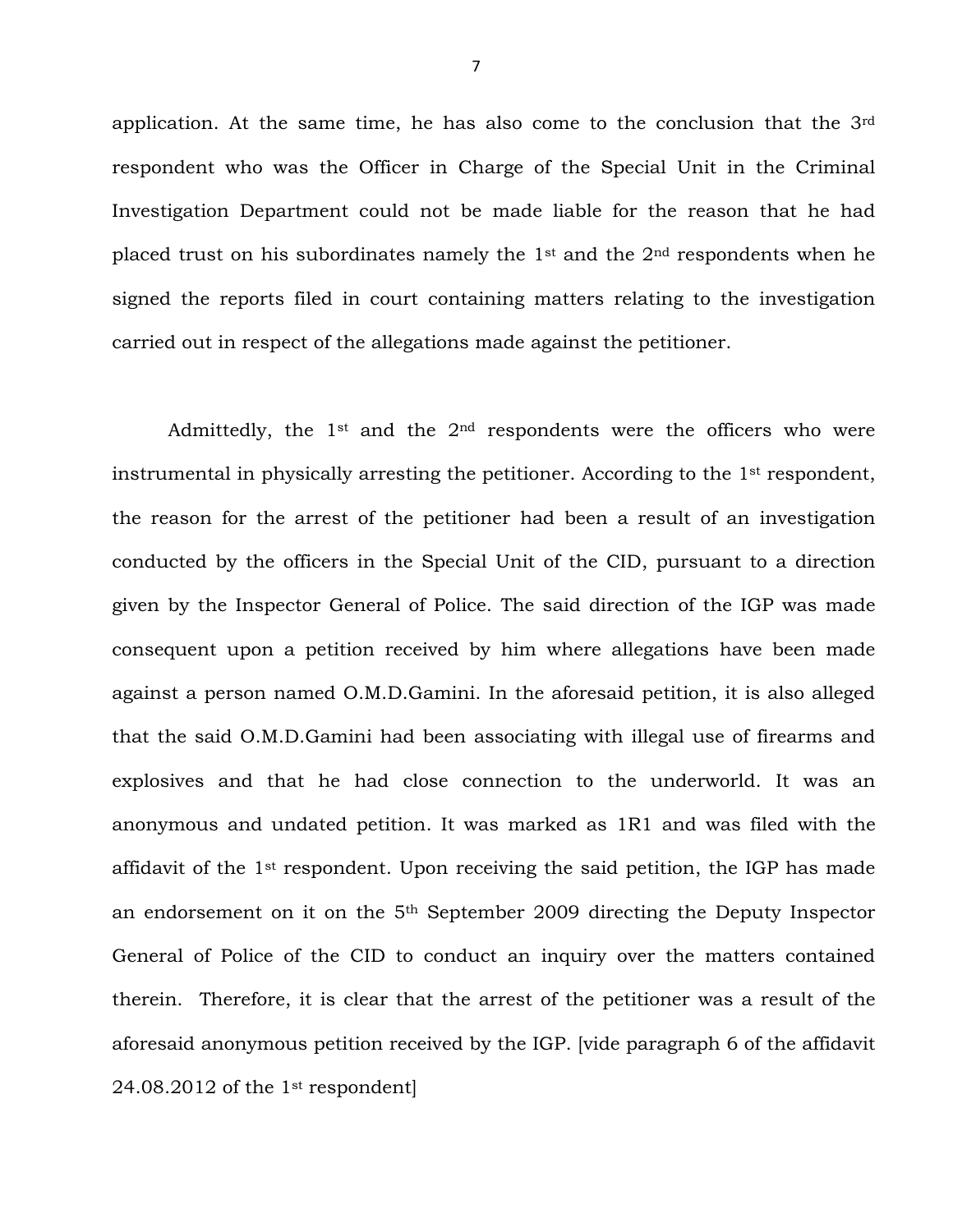application. At the same time, he has also come to the conclusion that the 3rd respondent who was the Officer in Charge of the Special Unit in the Criminal Investigation Department could not be made liable for the reason that he had placed trust on his subordinates namely the 1st and the 2nd respondents when he signed the reports filed in court containing matters relating to the investigation carried out in respect of the allegations made against the petitioner.

Admittedly, the 1st and the 2nd respondents were the officers who were instrumental in physically arresting the petitioner. According to the 1st respondent, the reason for the arrest of the petitioner had been a result of an investigation conducted by the officers in the Special Unit of the CID, pursuant to a direction given by the Inspector General of Police. The said direction of the IGP was made consequent upon a petition received by him where allegations have been made against a person named O.M.D.Gamini. In the aforesaid petition, it is also alleged that the said O.M.D.Gamini had been associating with illegal use of firearms and explosives and that he had close connection to the underworld. It was an anonymous and undated petition. It was marked as 1R1 and was filed with the affidavit of the 1st respondent. Upon receiving the said petition, the IGP has made an endorsement on it on the 5th September 2009 directing the Deputy Inspector General of Police of the CID to conduct an inquiry over the matters contained therein. Therefore, it is clear that the arrest of the petitioner was a result of the aforesaid anonymous petition received by the IGP. [vide paragraph 6 of the affidavit 24.08.2012 of the 1st respondent]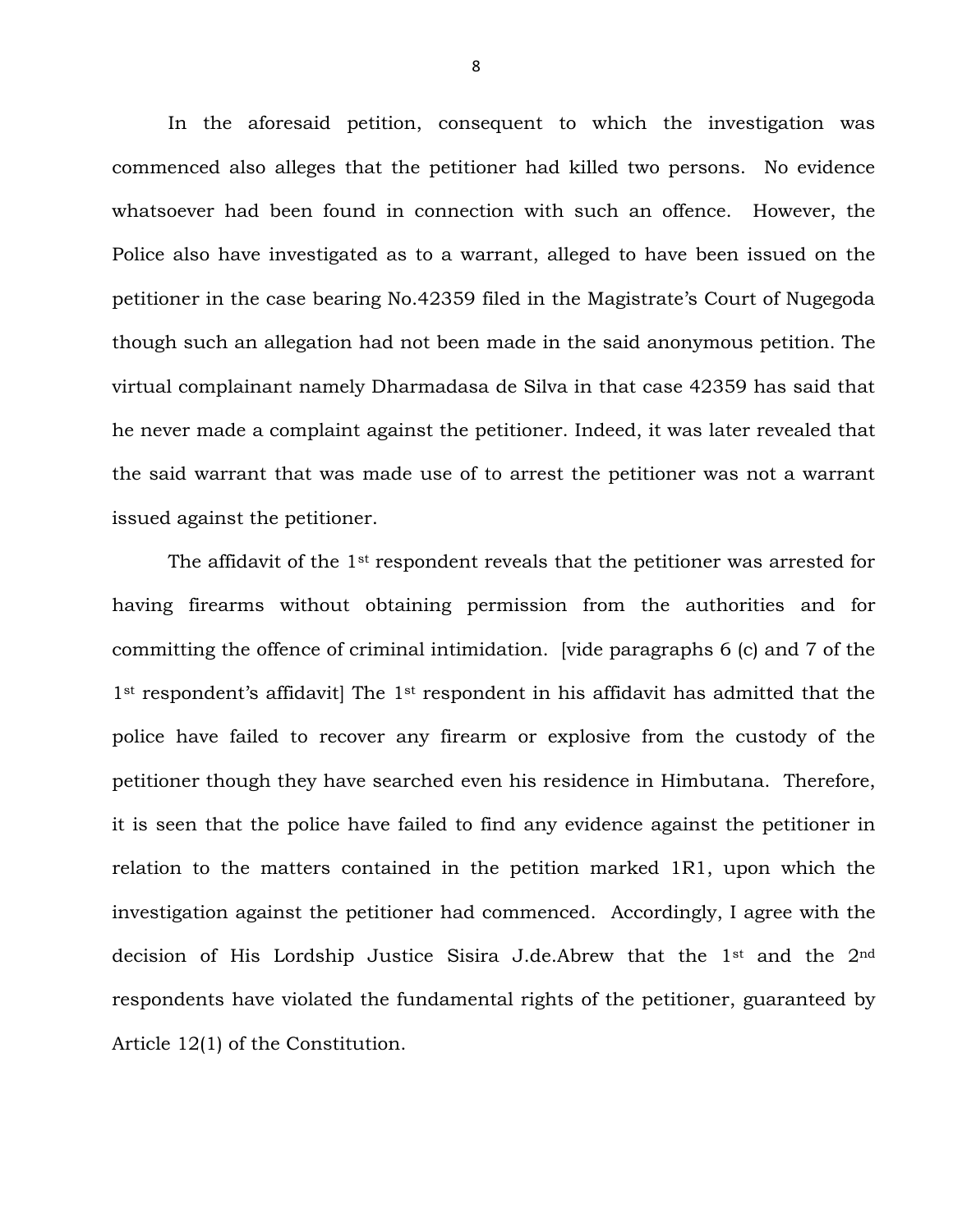In the aforesaid petition, consequent to which the investigation was commenced also alleges that the petitioner had killed two persons. No evidence whatsoever had been found in connection with such an offence. However, the Police also have investigated as to a warrant, alleged to have been issued on the petitioner in the case bearing No.42359 filed in the Magistrate's Court of Nugegoda though such an allegation had not been made in the said anonymous petition. The virtual complainant namely Dharmadasa de Silva in that case 42359 has said that he never made a complaint against the petitioner. Indeed, it was later revealed that the said warrant that was made use of to arrest the petitioner was not a warrant issued against the petitioner.

The affidavit of the  $1<sup>st</sup>$  respondent reveals that the petitioner was arrested for having firearms without obtaining permission from the authorities and for committing the offence of criminal intimidation. [vide paragraphs 6 (c) and 7 of the 1<sup>st</sup> respondent's affidavit] The 1<sup>st</sup> respondent in his affidavit has admitted that the police have failed to recover any firearm or explosive from the custody of the petitioner though they have searched even his residence in Himbutana. Therefore, it is seen that the police have failed to find any evidence against the petitioner in relation to the matters contained in the petition marked 1R1, upon which the investigation against the petitioner had commenced. Accordingly, I agree with the decision of His Lordship Justice Sisira J.de.Abrew that the 1st and the 2nd respondents have violated the fundamental rights of the petitioner, guaranteed by Article 12(1) of the Constitution.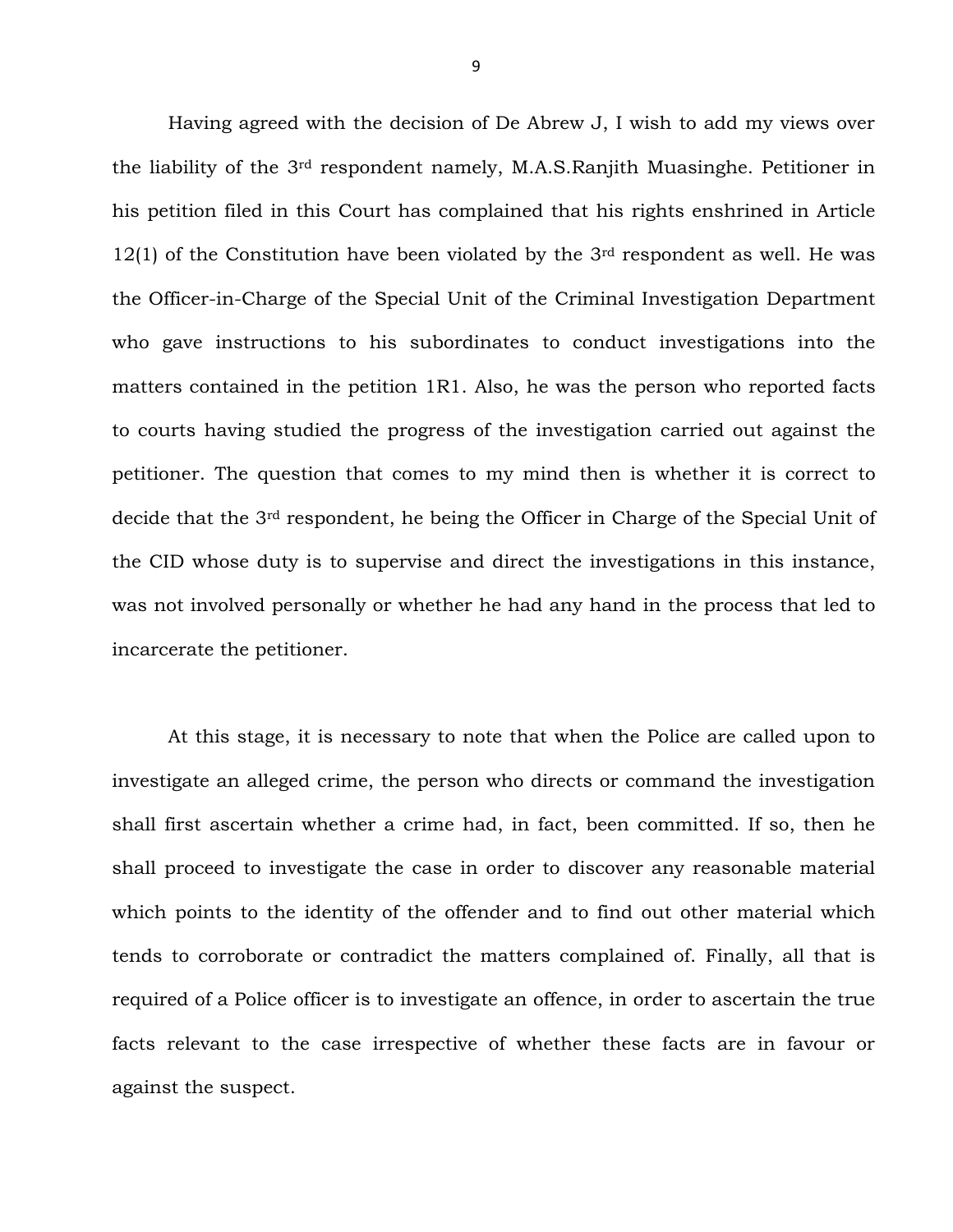Having agreed with the decision of De Abrew J, I wish to add my views over the liability of the 3rd respondent namely, M.A.S.Ranjith Muasinghe. Petitioner in his petition filed in this Court has complained that his rights enshrined in Article  $12(1)$  of the Constitution have been violated by the 3<sup>rd</sup> respondent as well. He was the Officer-in-Charge of the Special Unit of the Criminal Investigation Department who gave instructions to his subordinates to conduct investigations into the matters contained in the petition 1R1. Also, he was the person who reported facts to courts having studied the progress of the investigation carried out against the petitioner. The question that comes to my mind then is whether it is correct to decide that the 3rd respondent, he being the Officer in Charge of the Special Unit of the CID whose duty is to supervise and direct the investigations in this instance, was not involved personally or whether he had any hand in the process that led to incarcerate the petitioner.

At this stage, it is necessary to note that when the Police are called upon to investigate an alleged crime, the person who directs or command the investigation shall first ascertain whether a crime had, in fact, been committed. If so, then he shall proceed to investigate the case in order to discover any reasonable material which points to the identity of the offender and to find out other material which tends to corroborate or contradict the matters complained of. Finally, all that is required of a Police officer is to investigate an offence, in order to ascertain the true facts relevant to the case irrespective of whether these facts are in favour or against the suspect.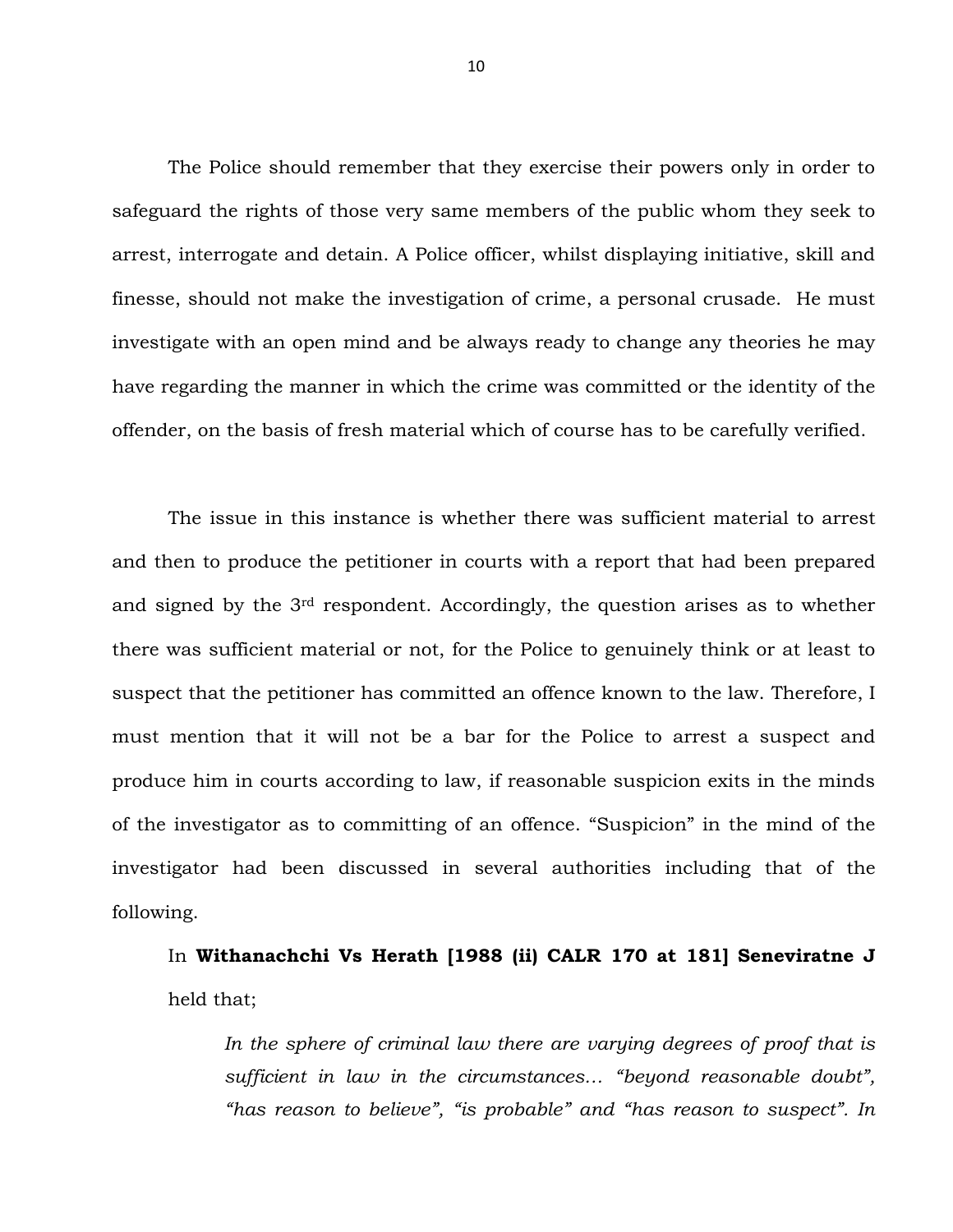The Police should remember that they exercise their powers only in order to safeguard the rights of those very same members of the public whom they seek to arrest, interrogate and detain. A Police officer, whilst displaying initiative, skill and finesse, should not make the investigation of crime, a personal crusade. He must investigate with an open mind and be always ready to change any theories he may have regarding the manner in which the crime was committed or the identity of the offender, on the basis of fresh material which of course has to be carefully verified.

The issue in this instance is whether there was sufficient material to arrest and then to produce the petitioner in courts with a report that had been prepared and signed by the 3rd respondent. Accordingly, the question arises as to whether there was sufficient material or not, for the Police to genuinely think or at least to suspect that the petitioner has committed an offence known to the law. Therefore, I must mention that it will not be a bar for the Police to arrest a suspect and produce him in courts according to law, if reasonable suspicion exits in the minds of the investigator as to committing of an offence. "Suspicion" in the mind of the investigator had been discussed in several authorities including that of the following.

## In **Withanachchi Vs Herath [1988 (ii) CALR 170 at 181] Seneviratne J** held that;

In the sphere of criminal law there are varying degrees of proof that is *sufficient in law in the circumstances… "beyond reasonable doubt", "has reason to believe", "is probable" and "has reason to suspect". In*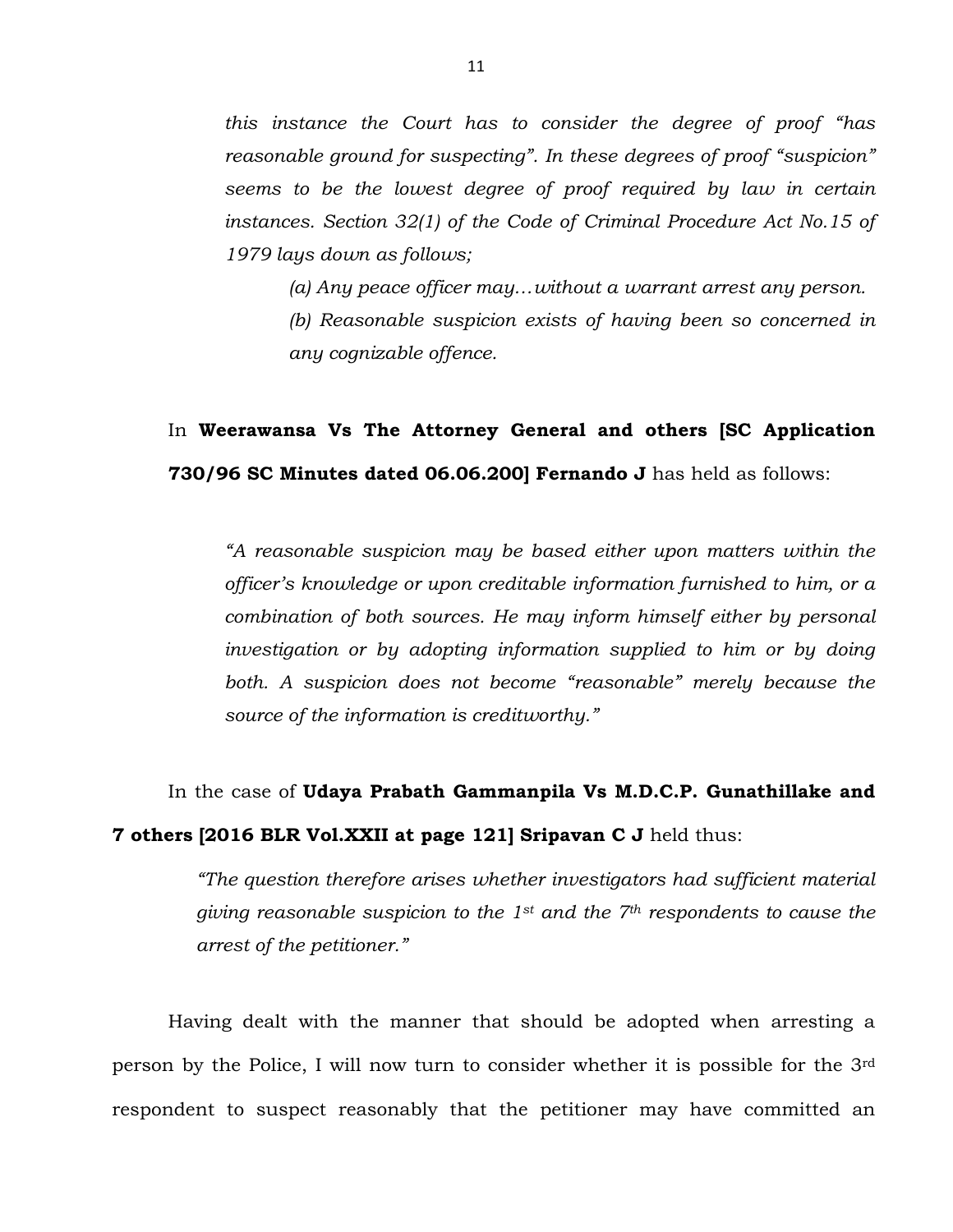*this instance the Court has to consider the degree of proof "has reasonable ground for suspecting". In these degrees of proof "suspicion" seems to be the lowest degree of proof required by law in certain*  instances. Section 32(1) of the Code of Criminal Procedure Act No.15 of *1979 lays down as follows;*

*(a) Any peace officer may…without a warrant arrest any person. (b) Reasonable suspicion exists of having been so concerned in* 

*any cognizable offence.*

## In **Weerawansa Vs The Attorney General and others [SC Application 730/96 SC Minutes dated 06.06.200] Fernando J** has held as follows:

*"A reasonable suspicion may be based either upon matters within the officer's knowledge or upon creditable information furnished to him, or a combination of both sources. He may inform himself either by personal investigation or by adopting information supplied to him or by doing both. A suspicion does not become "reasonable" merely because the source of the information is creditworthy."*

# In the case of **Udaya Prabath Gammanpila Vs M.D.C.P. Gunathillake and 7 others [2016 BLR Vol.XXII at page 121] Sripavan C J** held thus:

*"The question therefore arises whether investigators had sufficient material giving reasonable suspicion to the 1st and the 7th respondents to cause the arrest of the petitioner."* 

Having dealt with the manner that should be adopted when arresting a person by the Police, I will now turn to consider whether it is possible for the 3rd respondent to suspect reasonably that the petitioner may have committed an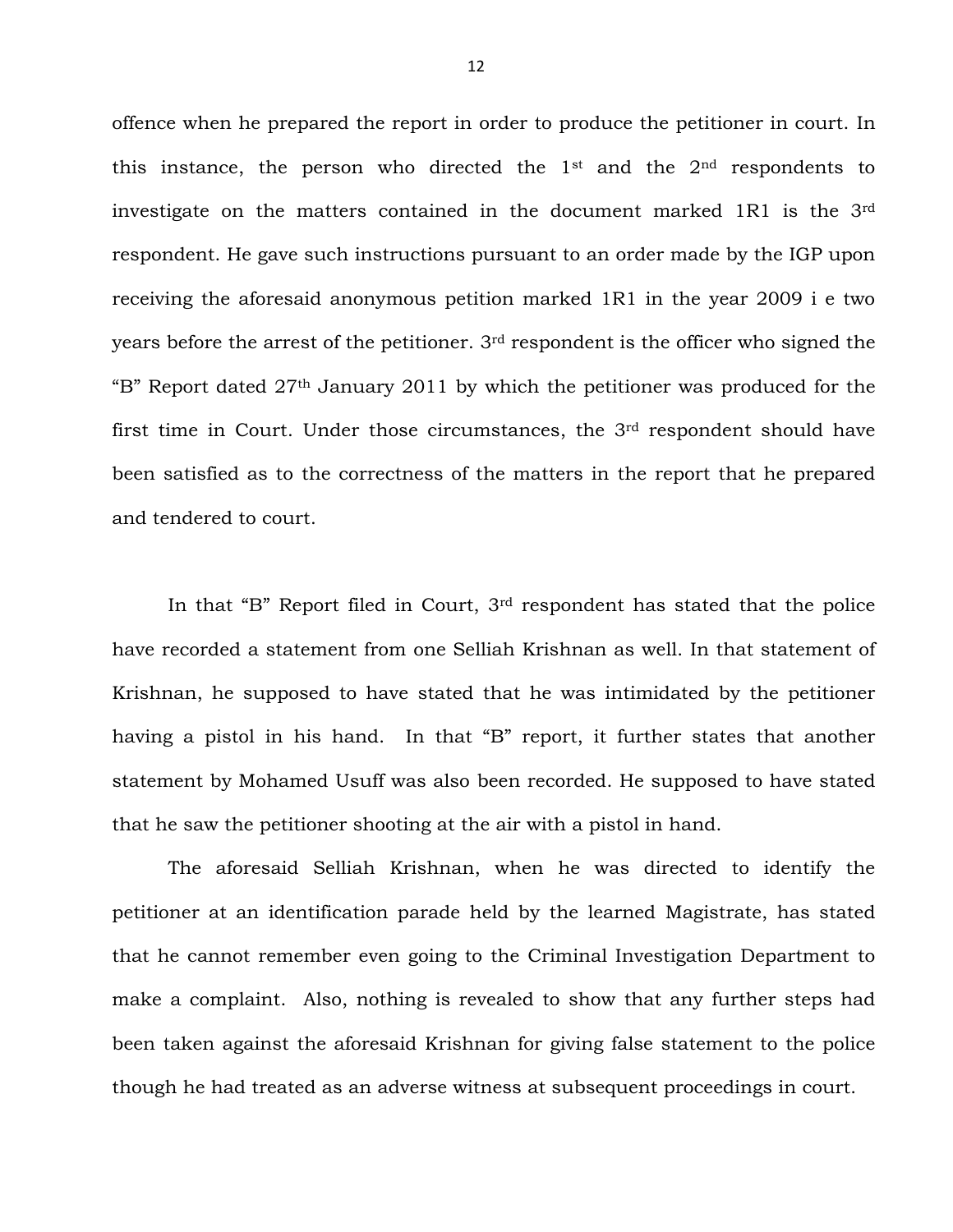offence when he prepared the report in order to produce the petitioner in court. In this instance, the person who directed the  $1<sup>st</sup>$  and the  $2<sup>nd</sup>$  respondents to investigate on the matters contained in the document marked 1R1 is the 3rd respondent. He gave such instructions pursuant to an order made by the IGP upon receiving the aforesaid anonymous petition marked 1R1 in the year 2009 i e two years before the arrest of the petitioner. 3rd respondent is the officer who signed the "B" Report dated 27th January 2011 by which the petitioner was produced for the first time in Court. Under those circumstances, the 3rd respondent should have been satisfied as to the correctness of the matters in the report that he prepared and tendered to court.

In that "B" Report filed in Court, 3rd respondent has stated that the police have recorded a statement from one Selliah Krishnan as well. In that statement of Krishnan, he supposed to have stated that he was intimidated by the petitioner having a pistol in his hand. In that "B" report, it further states that another statement by Mohamed Usuff was also been recorded. He supposed to have stated that he saw the petitioner shooting at the air with a pistol in hand.

The aforesaid Selliah Krishnan, when he was directed to identify the petitioner at an identification parade held by the learned Magistrate, has stated that he cannot remember even going to the Criminal Investigation Department to make a complaint. Also, nothing is revealed to show that any further steps had been taken against the aforesaid Krishnan for giving false statement to the police though he had treated as an adverse witness at subsequent proceedings in court.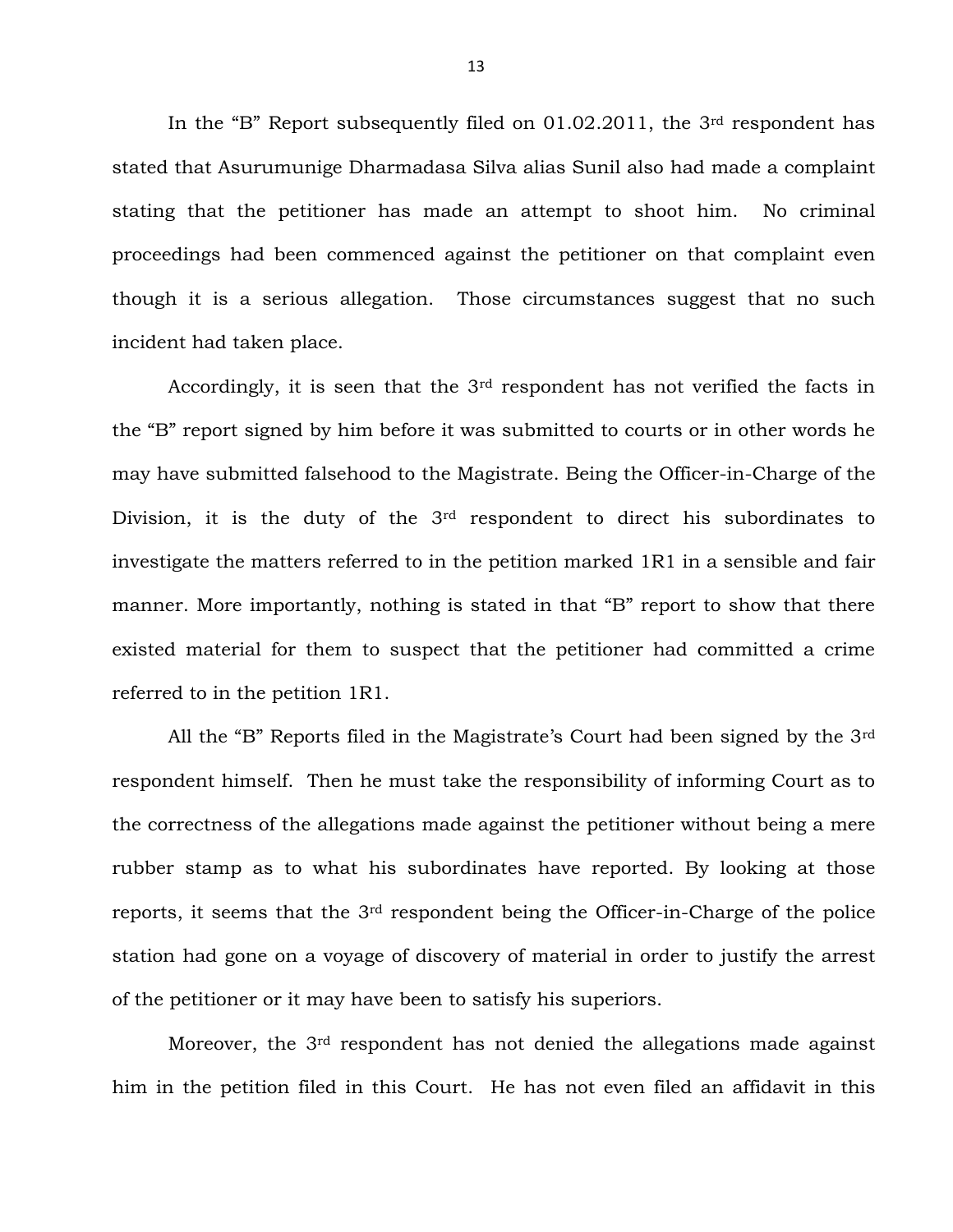In the "B" Report subsequently filed on 01.02.2011, the 3rd respondent has stated that Asurumunige Dharmadasa Silva alias Sunil also had made a complaint stating that the petitioner has made an attempt to shoot him. No criminal proceedings had been commenced against the petitioner on that complaint even though it is a serious allegation. Those circumstances suggest that no such incident had taken place.

Accordingly, it is seen that the 3rd respondent has not verified the facts in the "B" report signed by him before it was submitted to courts or in other words he may have submitted falsehood to the Magistrate. Being the Officer-in-Charge of the Division, it is the duty of the 3<sup>rd</sup> respondent to direct his subordinates to investigate the matters referred to in the petition marked 1R1 in a sensible and fair manner. More importantly, nothing is stated in that "B" report to show that there existed material for them to suspect that the petitioner had committed a crime referred to in the petition 1R1.

All the "B" Reports filed in the Magistrate's Court had been signed by the 3rd respondent himself. Then he must take the responsibility of informing Court as to the correctness of the allegations made against the petitioner without being a mere rubber stamp as to what his subordinates have reported. By looking at those reports, it seems that the 3rd respondent being the Officer-in-Charge of the police station had gone on a voyage of discovery of material in order to justify the arrest of the petitioner or it may have been to satisfy his superiors.

Moreover, the 3<sup>rd</sup> respondent has not denied the allegations made against him in the petition filed in this Court. He has not even filed an affidavit in this